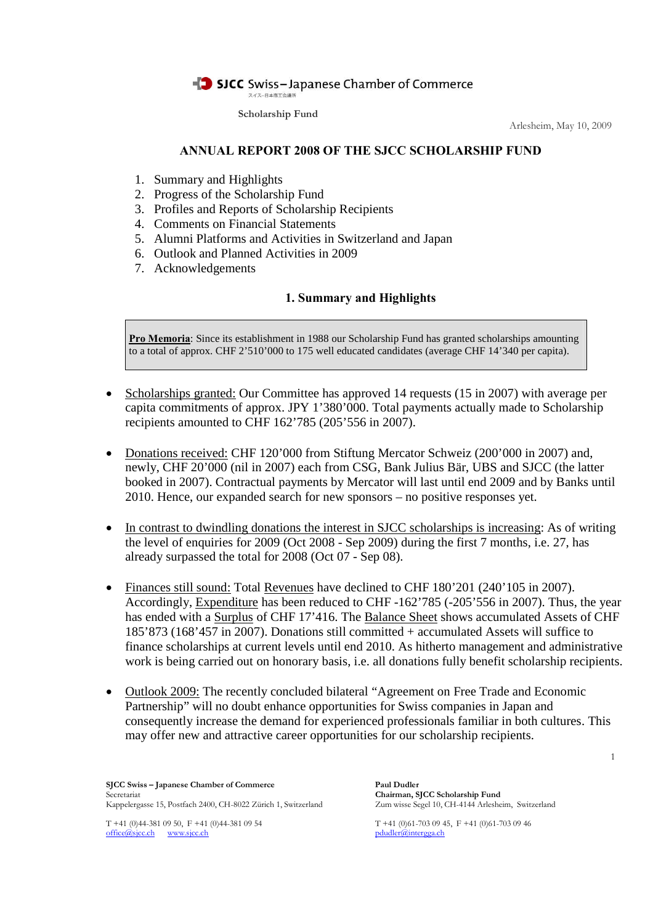

Arlesheim, May 10, 2009

### **ANNUAL REPORT 2008 OF THE SJCC SCHOLARSHIP FUND**

- 1. Summary and Highlights
- 2. Progress of the Scholarship Fund
- 3. Profiles and Reports of Scholarship Recipients
- 4. Comments on Financial Statements
- 5. Alumni Platforms and Activities in Switzerland and Japan
- 6. Outlook and Planned Activities in 2009
- 7. Acknowledgements

# **1. Summary and Highlights**

**Pro Memoria**: Since its establishment in 1988 our Scholarship Fund has granted scholarships amounting to a total of approx. CHF 2'510'000 to 175 well educated candidates (average CHF 14'340 per capita).

- Scholarships granted: Our Committee has approved 14 requests (15 in 2007) with average per capita commitments of approx. JPY 1'380'000. Total payments actually made to Scholarship recipients amounted to CHF 162'785 (205'556 in 2007).
- Donations received: CHF 120'000 from Stiftung Mercator Schweiz (200'000 in 2007) and, newly, CHF 20'000 (nil in 2007) each from CSG, Bank Julius Bär, UBS and SJCC (the latter booked in 2007). Contractual payments by Mercator will last until end 2009 and by Banks until 2010. Hence, our expanded search for new sponsors – no positive responses yet.
- In contrast to dwindling donations the interest in SJCC scholarships is increasing: As of writing the level of enquiries for 2009 (Oct 2008 - Sep 2009) during the first 7 months, i.e. 27, has already surpassed the total for 2008 (Oct 07 - Sep 08).
- Finances still sound: Total Revenues have declined to CHF 180'201 (240'105 in 2007). Accordingly, Expenditure has been reduced to CHF -162'785 (-205'556 in 2007). Thus, the year has ended with a Surplus of CHF 17'416. The Balance Sheet shows accumulated Assets of CHF 185'873 (168'457 in 2007). Donations still committed + accumulated Assets will suffice to finance scholarships at current levels until end 2010. As hitherto management and administrative work is being carried out on honorary basis, i.e. all donations fully benefit scholarship recipients.
- Outlook 2009: The recently concluded bilateral "Agreement on Free Trade and Economic Partnership" will no doubt enhance opportunities for Swiss companies in Japan and consequently increase the demand for experienced professionals familiar in both cultures. This may offer new and attractive career opportunities for our scholarship recipients.

**SJCC Swiss – Japanese Chamber of Commerce Paul Dudler** Secretariat<br> **Chairman, SJCC Scholarship Fund**<br>
Kappelergasse 15, Postfach 2400, CH-8022 Zürich 1, Switzerland Zum wisse Segel 10, CH-4144 Arlesheim, Switzerland Kappelergasse 15, Postfach 2400, CH-8022 Zürich 1, Switzerland

T +41 (0)44-381 09 50, F +41 (0)44-381 09 54 T +41 (0)61-703 09 45, F +41 (0)61-703 09 46 office@sjcc.ch www.sjcc.ch pdudler@intergga.ch

1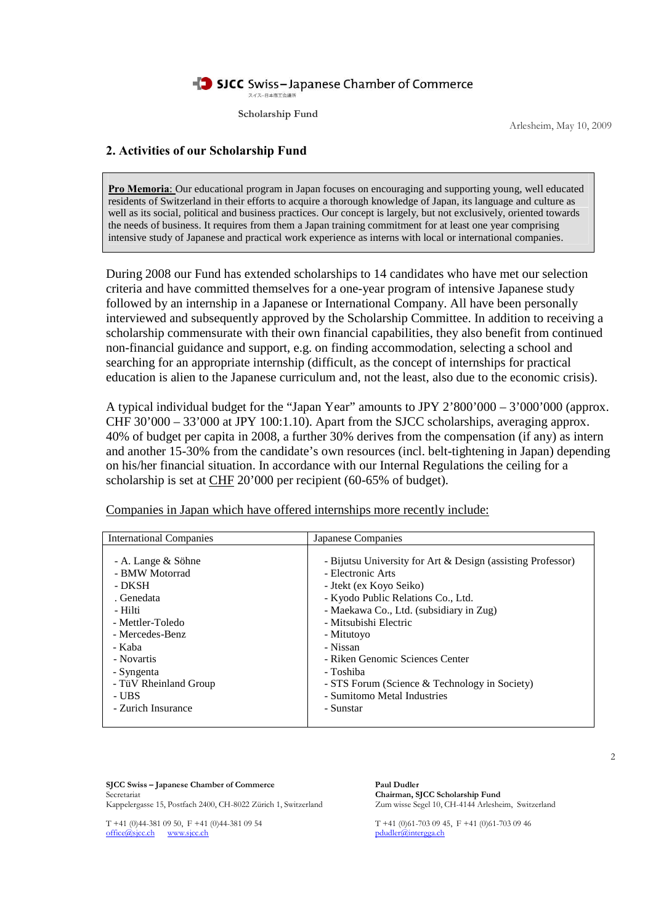

Arlesheim, May 10, 2009

### **2. Activities of our Scholarship Fund**

**Pro Memoria**: Our educational program in Japan focuses on encouraging and supporting young, well educated residents of Switzerland in their efforts to acquire a thorough knowledge of Japan, its language and culture as well as its social, political and business practices. Our concept is largely, but not exclusively, oriented towards the needs of business. It requires from them a Japan training commitment for at least one year comprising intensive study of Japanese and practical work experience as interns with local or international companies.

During 2008 our Fund has extended scholarships to 14 candidates who have met our selection criteria and have committed themselves for a one-year program of intensive Japanese study followed by an internship in a Japanese or International Company. All have been personally interviewed and subsequently approved by the Scholarship Committee. In addition to receiving a scholarship commensurate with their own financial capabilities, they also benefit from continued non-financial guidance and support, e.g. on finding accommodation, selecting a school and searching for an appropriate internship (difficult, as the concept of internships for practical education is alien to the Japanese curriculum and, not the least, also due to the economic crisis).

A typical individual budget for the "Japan Year" amounts to JPY 2'800'000 – 3'000'000 (approx. CHF  $30'000 - 33'000$  at JPY 100:1.10). Apart from the SJCC scholarships, averaging approx. 40% of budget per capita in 2008, a further 30% derives from the compensation (if any) as intern and another 15-30% from the candidate's own resources (incl. belt-tightening in Japan) depending on his/her financial situation. In accordance with our Internal Regulations the ceiling for a scholarship is set at CHF 20'000 per recipient (60-65% of budget).

| <b>International Companies</b> | Japanese Companies                                          |
|--------------------------------|-------------------------------------------------------------|
| - A. Lange & Söhne             | - Bijutsu University for Art & Design (assisting Professor) |
| - BMW Motorrad                 | - Electronic Arts                                           |
| - DKSH                         | - Jtekt (ex Koyo Seiko)                                     |
| . Genedata                     | - Kyodo Public Relations Co., Ltd.                          |
| - Hilti                        | - Maekawa Co., Ltd. (subsidiary in Zug)                     |
| - Mettler-Toledo               | - Mitsubishi Electric                                       |
| - Mercedes-Benz                | - Mitutoyo                                                  |
| - Kaba                         | - Nissan                                                    |
| - Novartis                     | - Riken Genomic Sciences Center                             |
| - Syngenta                     | - Toshiba                                                   |
| - TüV Rheinland Group          | - STS Forum (Science & Technology in Society)               |
| - UBS                          | - Sumitomo Metal Industries                                 |
| - Zurich Insurance             | - Sunstar                                                   |

Companies in Japan which have offered internships more recently include:

**SJCC Swiss – Japanese Chamber of Commerce Paul Dudler** Secretariat<br> **Chairman, SJCC Scholarship Fund**<br>
Kappelergasse 15, Postfach 2400, CH-8022 Zürich 1, Switzerland Zum wisse Segel 10, CH-4144 Arlesheim, Switzerland Kappelergasse 15, Postfach 2400, CH-8022 Zürich 1, Switzerland

T +41 (0)44-381 09 50, F +41 (0)44-381 09 54 T +41 (0)61-703 09 45, F +41 (0)61-703 09 46 office@sjcc.ch www.sjcc.ch pdudler@intergga.ch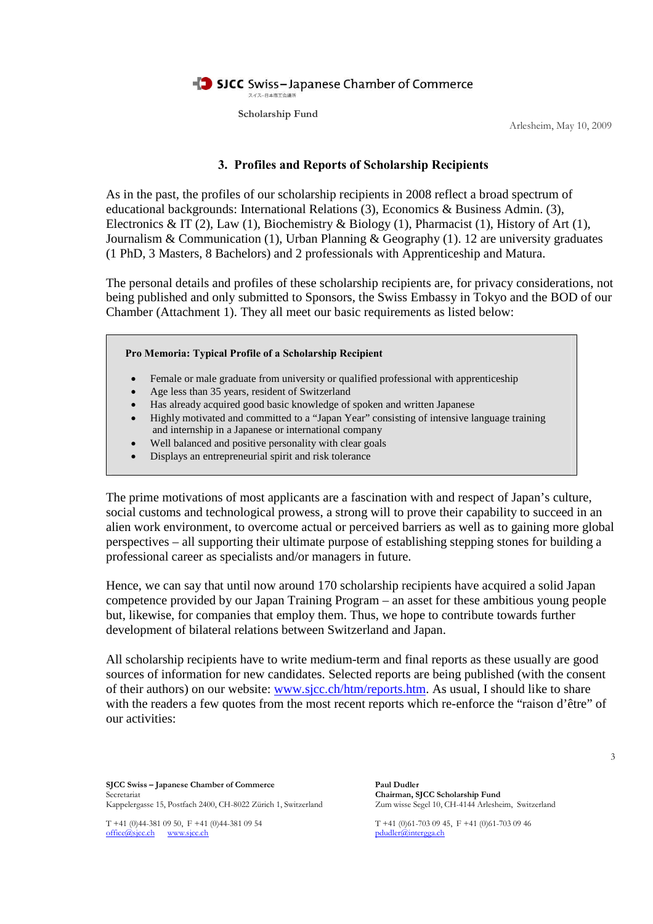

Arlesheim, May 10, 2009

### **3. Profiles and Reports of Scholarship Recipients**

As in the past, the profiles of our scholarship recipients in 2008 reflect a broad spectrum of educational backgrounds: International Relations (3), Economics & Business Admin. (3), Electronics & IT (2), Law (1), Biochemistry & Biology (1), Pharmacist (1), History of Art (1), Journalism & Communication (1), Urban Planning & Geography (1). 12 are university graduates (1 PhD, 3 Masters, 8 Bachelors) and 2 professionals with Apprenticeship and Matura.

The personal details and profiles of these scholarship recipients are, for privacy considerations, not being published and only submitted to Sponsors, the Swiss Embassy in Tokyo and the BOD of our Chamber (Attachment 1). They all meet our basic requirements as listed below:

**Pro Memoria: Typical Profile of a Scholarship Recipient**

- Female or male graduate from university or qualified professional with apprenticeship
- Age less than 35 years, resident of Switzerland
- Has already acquired good basic knowledge of spoken and written Japanese
- Highly motivated and committed to a "Japan Year" consisting of intensive language training and internship in a Japanese or international company
- Well balanced and positive personality with clear goals
- Displays an entrepreneurial spirit and risk tolerance

The prime motivations of most applicants are a fascination with and respect of Japan's culture, social customs and technological prowess, a strong will to prove their capability to succeed in an alien work environment, to overcome actual or perceived barriers as well as to gaining more global perspectives – all supporting their ultimate purpose of establishing stepping stones for building a professional career as specialists and/or managers in future.

Hence, we can say that until now around 170 scholarship recipients have acquired a solid Japan competence provided by our Japan Training Program – an asset for these ambitious young people but, likewise, for companies that employ them. Thus, we hope to contribute towards further development of bilateral relations between Switzerland and Japan.

All scholarship recipients have to write medium-term and final reports as these usually are good sources of information for new candidates. Selected reports are being published (with the consent of their authors) on our website: www.sjcc.ch/htm/reports.htm. As usual, I should like to share with the readers a few quotes from the most recent reports which re-enforce the "raison d'être" of our activities:

**SJCC Swiss – Japanese Chamber of Commerce Paul Dudler** Secretariat<br> **Chairman, SJCC Scholarship Fund**<br>
Kappelergasse 15, Postfach 2400, CH-8022 Zürich 1, Switzerland Zum wisse Segel 10, CH-4144 Arlesheim, Switzerland Kappelergasse 15, Postfach 2400, CH-8022 Zürich 1, Switzerland

T +41 (0)44-381 09 50, F +41 (0)44-381 09 54 T +41 (0)61-703 09 45, F +41 (0)61-703 09 46 office@sjcc.ch www.sjcc.ch pdudler@intergga.ch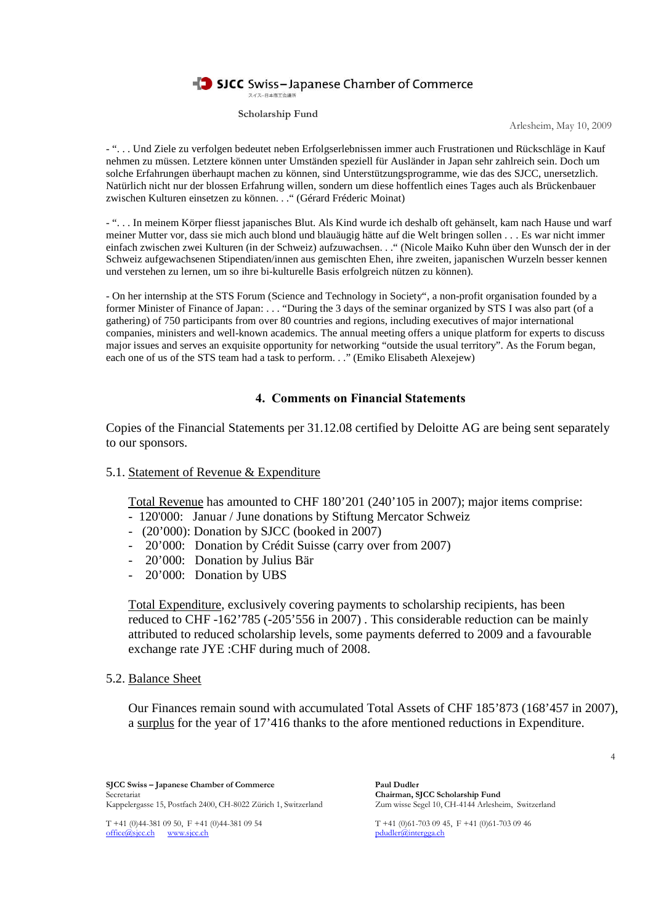# SJCC Swiss-Japanese Chamber of Commerce

スイスー日本商工会議所

**Scholarship Fund**

Arlesheim, May 10, 2009

- ". . . Und Ziele zu verfolgen bedeutet neben Erfolgserlebnissen immer auch Frustrationen und Rückschläge in Kauf nehmen zu müssen. Letztere können unter Umständen speziell für Ausländer in Japan sehr zahlreich sein. Doch um solche Erfahrungen überhaupt machen zu können, sind Unterstützungsprogramme, wie das des SJCC, unersetzlich. Natürlich nicht nur der blossen Erfahrung willen, sondern um diese hoffentlich eines Tages auch als Brückenbauer zwischen Kulturen einsetzen zu können. . ." (Gérard Fréderic Moinat)

- ". . . In meinem Körper fliesst japanisches Blut. Als Kind wurde ich deshalb oft gehänselt, kam nach Hause und warf meiner Mutter vor, dass sie mich auch blond und blauäugig hätte auf die Welt bringen sollen . . . Es war nicht immer einfach zwischen zwei Kulturen (in der Schweiz) aufzuwachsen. . ." (Nicole Maiko Kuhn über den Wunsch der in der Schweiz aufgewachsenen Stipendiaten/innen aus gemischten Ehen, ihre zweiten, japanischen Wurzeln besser kennen und verstehen zu lernen, um so ihre bi-kulturelle Basis erfolgreich nützen zu können).

- On her internship at the STS Forum (Science and Technology in Society", a non-profit organisation founded by a former Minister of Finance of Japan: . . . "During the 3 days of the seminar organized by STS I was also part (of a gathering) of 750 participants from over 80 countries and regions, including executives of major international companies, ministers and well-known academics. The annual meeting offers a unique platform for experts to discuss major issues and serves an exquisite opportunity for networking "outside the usual territory". As the Forum began, each one of us of the STS team had a task to perform. . ." (Emiko Elisabeth Alexejew)

### **4. Comments on Financial Statements**

Copies of the Financial Statements per 31.12.08 certified by Deloitte AG are being sent separately to our sponsors.

#### 5.1. Statement of Revenue & Expenditure

Total Revenue has amounted to CHF 180'201 (240'105 in 2007); major items comprise:

- 120'000: Januar / June donations by Stiftung Mercator Schweiz
- (20'000): Donation by SJCC (booked in 2007)
- 20'000: Donation by Crédit Suisse (carry over from 2007)
- 20'000: Donation by Julius Bär
- 20'000: Donation by UBS

Total Expenditure, exclusively covering payments to scholarship recipients, has been reduced to CHF -162'785 (-205'556 in 2007) . This considerable reduction can be mainly attributed to reduced scholarship levels, some payments deferred to 2009 and a favourable exchange rate JYE :CHF during much of 2008.

5.2. Balance Sheet

Our Finances remain sound with accumulated Total Assets of CHF 185'873 (168'457 in 2007), a surplus for the year of 17'416 thanks to the afore mentioned reductions in Expenditure.

**SJCC Swiss – Japanese Chamber of Commerce Paul Dudler** Secretariat<br> **Chairman, SJCC Scholarship Fund**<br>
Kappelergasse 15, Postfach 2400, CH-8022 Zürich 1, Switzerland Zum wisse Segel 10, CH-4144 Arlesheim, Switzerland Kappelergasse 15, Postfach 2400, CH-8022 Zürich 1, Switzerland

T +41 (0)44-381 09 50, F +41 (0)44-381 09 54 T +41 (0)61-703 09 45, F +41 (0)61-703 09 46 office@sjcc.ch www.sjcc.ch pdudler@intergga.ch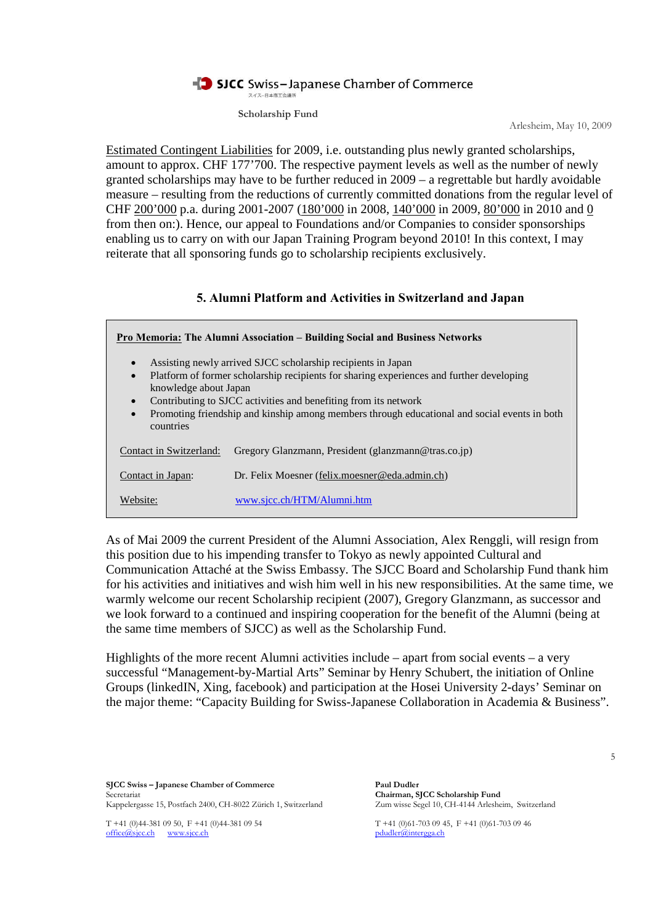# SJCC Swiss-Japanese Chamber of Commerce

スイスー日本商工会議所 **Scholarship Fund**

Arlesheim, May 10, 2009

Estimated Contingent Liabilities for 2009, i.e. outstanding plus newly granted scholarships, amount to approx. CHF 177'700. The respective payment levels as well as the number of newly granted scholarships may have to be further reduced in 2009 – a regrettable but hardly avoidable measure – resulting from the reductions of currently committed donations from the regular level of CHF 200'000 p.a. during 2001-2007 (180'000 in 2008, 140'000 in 2009, 80'000 in 2010 and 0 from then on:). Hence, our appeal to Foundations and/or Companies to consider sponsorships enabling us to carry on with our Japan Training Program beyond 2010! In this context, I may reiterate that all sponsoring funds go to scholarship recipients exclusively.

### **5. Alumni Platform and Activities in Switzerland and Japan**

| Pro Memoria: The Alumni Association – Building Social and Business Networks                                                                                                                                                                                                                                                                                                                                           |                                                     |
|-----------------------------------------------------------------------------------------------------------------------------------------------------------------------------------------------------------------------------------------------------------------------------------------------------------------------------------------------------------------------------------------------------------------------|-----------------------------------------------------|
| Assisting newly arrived SJCC scholarship recipients in Japan<br>$\bullet$<br>Platform of former scholarship recipients for sharing experiences and further developing<br>$\bullet$<br>knowledge about Japan<br>Contributing to SJCC activities and benefiting from its network<br>$\bullet$<br>Promoting friendship and kinship among members through educational and social events in both<br>$\bullet$<br>countries |                                                     |
| Contact in Switzerland:                                                                                                                                                                                                                                                                                                                                                                                               | Gregory Glanzmann, President (glanzmann@tras.co.jp) |
| Contact in Japan:                                                                                                                                                                                                                                                                                                                                                                                                     | Dr. Felix Moesner (felix.moesner@eda.admin.ch)      |
| Website:                                                                                                                                                                                                                                                                                                                                                                                                              | www.sjcc.ch/HTM/Alumni.htm                          |

As of Mai 2009 the current President of the Alumni Association, Alex Renggli, will resign from this position due to his impending transfer to Tokyo as newly appointed Cultural and Communication Attaché at the Swiss Embassy. The SJCC Board and Scholarship Fund thank him for his activities and initiatives and wish him well in his new responsibilities. At the same time, we warmly welcome our recent Scholarship recipient (2007), Gregory Glanzmann, as successor and we look forward to a continued and inspiring cooperation for the benefit of the Alumni (being at the same time members of SJCC) as well as the Scholarship Fund.

Highlights of the more recent Alumni activities include – apart from social events – a very successful "Management-by-Martial Arts" Seminar by Henry Schubert, the initiation of Online Groups (linkedIN, Xing, facebook) and participation at the Hosei University 2-days' Seminar on the major theme: "Capacity Building for Swiss-Japanese Collaboration in Academia & Business".

**SJCC Swiss – Japanese Chamber of Commerce Paul Dudler** Secretariat<br> **Chairman, SJCC Scholarship Fund**<br>
Kappelergasse 15, Postfach 2400, CH-8022 Zürich 1, Switzerland Zum wisse Segel 10, CH-4144 Arlesheim, Switzerland Kappelergasse 15, Postfach 2400, CH-8022 Zürich 1, Switzerland

office@sjcc.ch www.sjcc.ch pdudler@intergga.ch

T +41 (0)44-381 09 50, F +41 (0)44-381 09 54 T +41 (0)61-703 09 45, F +41 (0)61-703 09 46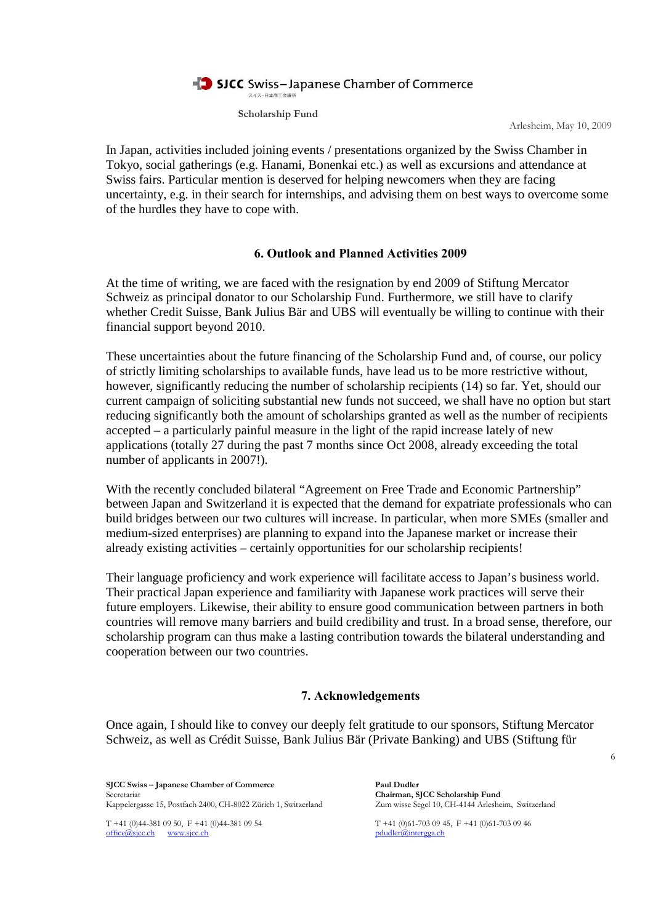

Arlesheim, May 10, 2009

In Japan, activities included joining events / presentations organized by the Swiss Chamber in Tokyo, social gatherings (e.g. Hanami, Bonenkai etc.) as well as excursions and attendance at Swiss fairs. Particular mention is deserved for helping newcomers when they are facing uncertainty, e.g. in their search for internships, and advising them on best ways to overcome some of the hurdles they have to cope with.

# **6. Outlook and Planned Activities 2009**

At the time of writing, we are faced with the resignation by end 2009 of Stiftung Mercator Schweiz as principal donator to our Scholarship Fund. Furthermore, we still have to clarify whether Credit Suisse, Bank Julius Bär and UBS will eventually be willing to continue with their financial support beyond 2010.

These uncertainties about the future financing of the Scholarship Fund and, of course, our policy of strictly limiting scholarships to available funds, have lead us to be more restrictive without, however, significantly reducing the number of scholarship recipients (14) so far. Yet, should our current campaign of soliciting substantial new funds not succeed, we shall have no option but start reducing significantly both the amount of scholarships granted as well as the number of recipients accepted – a particularly painful measure in the light of the rapid increase lately of new applications (totally 27 during the past 7 months since Oct 2008, already exceeding the total number of applicants in 2007!).

With the recently concluded bilateral "Agreement on Free Trade and Economic Partnership" between Japan and Switzerland it is expected that the demand for expatriate professionals who can build bridges between our two cultures will increase. In particular, when more SMEs (smaller and medium-sized enterprises) are planning to expand into the Japanese market or increase their already existing activities – certainly opportunities for our scholarship recipients!

Their language proficiency and work experience will facilitate access to Japan's business world. Their practical Japan experience and familiarity with Japanese work practices will serve their future employers. Likewise, their ability to ensure good communication between partners in both countries will remove many barriers and build credibility and trust. In a broad sense, therefore, our scholarship program can thus make a lasting contribution towards the bilateral understanding and cooperation between our two countries.

# **7. Acknowledgements**

Once again, I should like to convey our deeply felt gratitude to our sponsors, Stiftung Mercator Schweiz, as well as Crédit Suisse, Bank Julius Bär (Private Banking) and UBS (Stiftung für

**SJCC Swiss – Japanese Chamber of Commerce Paul Dudler** Secretariat<br>
Kappelereasse 15, Postfach 2400, CH-8022 Zürich 1, Switzerland<br>
Kappelereasse 15, Postfach 2400, CH-8022 Zürich 1, Switzerland<br>
Zum wisse Segel 10, CH-4144 Arlesheim, Switzerland Kappelergasse 15, Postfach 2400, CH-8022 Zürich 1, Switzerland

office@sjcc.ch www.sjcc.ch pdudler@intergga.ch

T +41 (0)44-381 09 50, F +41 (0)44-381 09 54 T +41 (0)61-703 09 45, F +41 (0)61-703 09 46